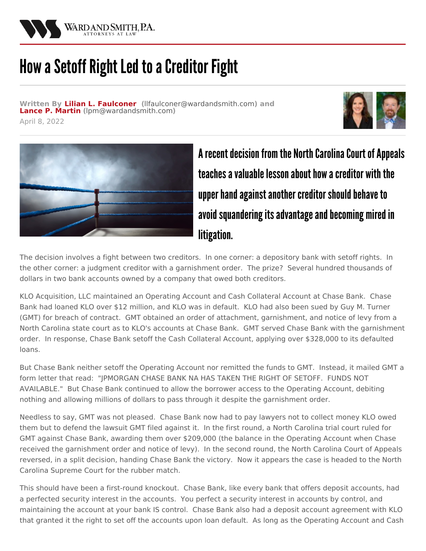

## How a Setoff Right Led to a Creditor Fight

**Written By Lilian L. [Faulconer](/attorneys/lilian-faulconer) (**[llfaulconer@wardandsmith.com](mailto:llfaulconer@wardandsmith.com)**) and Lance P. [Martin](/attorneys/lance-martin) (**[lpm@wardandsmith.com](mailto:lpm@wardandsmith.com)**)**







A recent decision from the North Carolina Court of Appeals teaches a valuable lesson about how a creditor with the upper hand against another creditor should behave to avoid squandering its advantage and becoming mired in litigation.

The decision involves a fight between two creditors. In one corner: a depository bank with setoff rights. In the other corner: a judgment creditor with a garnishment order. The prize? Several hundred thousands of dollars in two bank accounts owned by a company that owed both creditors.

KLO Acquisition, LLC maintained an Operating Account and Cash Collateral Account at Chase Bank. Chase Bank had loaned KLO over \$12 million, and KLO was in default. KLO had also been sued by Guy M. Turner (GMT) for breach of contract. GMT obtained an order of attachment, garnishment, and notice of levy from a North Carolina state court as to KLO's accounts at Chase Bank. GMT served Chase Bank with the garnishment order. In response, Chase Bank setoff the Cash Collateral Account, applying over \$328,000 to its defaulted loans.

But Chase Bank neither setoff the Operating Account nor remitted the funds to GMT. Instead, it mailed GMT a form letter that read: "JPMORGAN CHASE BANK NA HAS TAKEN THE RIGHT OF SETOFF. FUNDS NOT AVAILABLE." But Chase Bank continued to allow the borrower access to the Operating Account, debiting nothing and allowing millions of dollars to pass through it despite the garnishment order.

Needless to say, GMT was not pleased. Chase Bank now had to pay lawyers not to collect money KLO owed them but to defend the lawsuit GMT filed against it. In the first round, a North Carolina trial court ruled for GMT against Chase Bank, awarding them over \$209,000 (the balance in the Operating Account when Chase received the garnishment order and notice of levy). In the second round, the North Carolina Court of Appeals reversed, in a split decision, handing Chase Bank the victory. Now it appears the case is headed to the North Carolina Supreme Court for the rubber match.

This should have been a first-round knockout. Chase Bank, like every bank that offers deposit accounts, had a perfected security interest in the accounts. You perfect a security interest in accounts by control, and maintaining the account at your bank IS control. Chase Bank also had a deposit account agreement with KLO that granted it the right to set off the accounts upon loan default. As long as the Operating Account and Cash